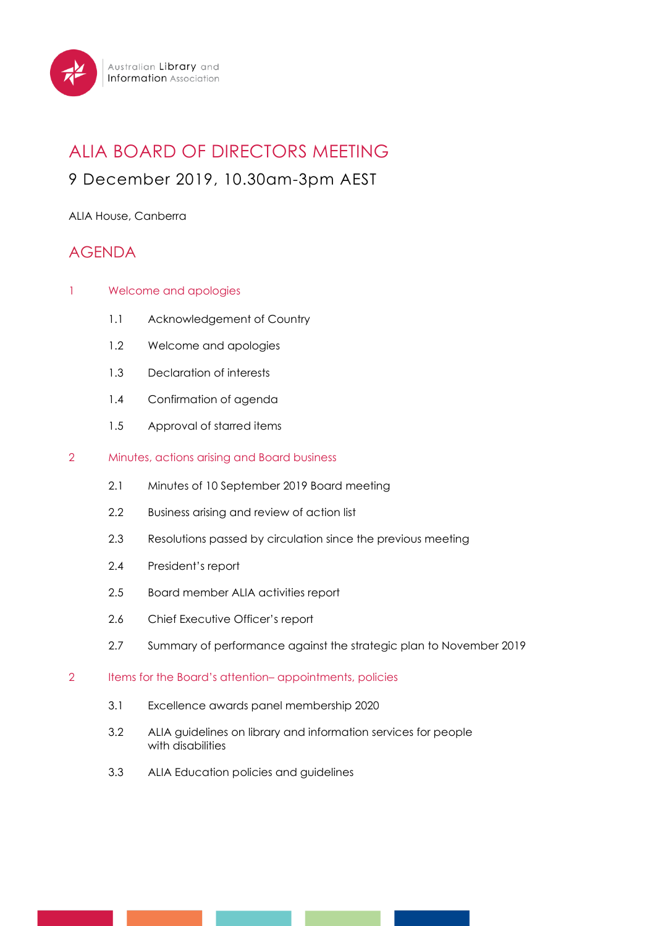

# ALIA BOARD OF DIRECTORS MEETING

## 9 December 2019, 10.30am-3pm AEST

### ALIA House, Canberra

## AGENDA

- 1 Welcome and apologies
	- 1.1 Acknowledgement of Country
	- 1.2 Welcome and apologies
	- 1.3 Declaration of interests
	- 1.4 Confirmation of agenda
	- 1.5 Approval of starred items

#### 2 Minutes, actions arising and Board business

- 2.1 Minutes of 10 September 2019 Board meeting
- 2.2 Business arising and review of action list
- 2.3 Resolutions passed by circulation since the previous meeting
- 2.4 President's report
- 2.5 Board member ALIA activities report
- 2.6 Chief Executive Officer's report
- 2.7 Summary of performance against the strategic plan to November 2019
- 2 Items for the Board's attention– appointments, policies
	- 3.1 Excellence awards panel membership 2020
	- 3.2 ALIA guidelines on library and information services for people with disabilities
	- 3.3 ALIA Education policies and guidelines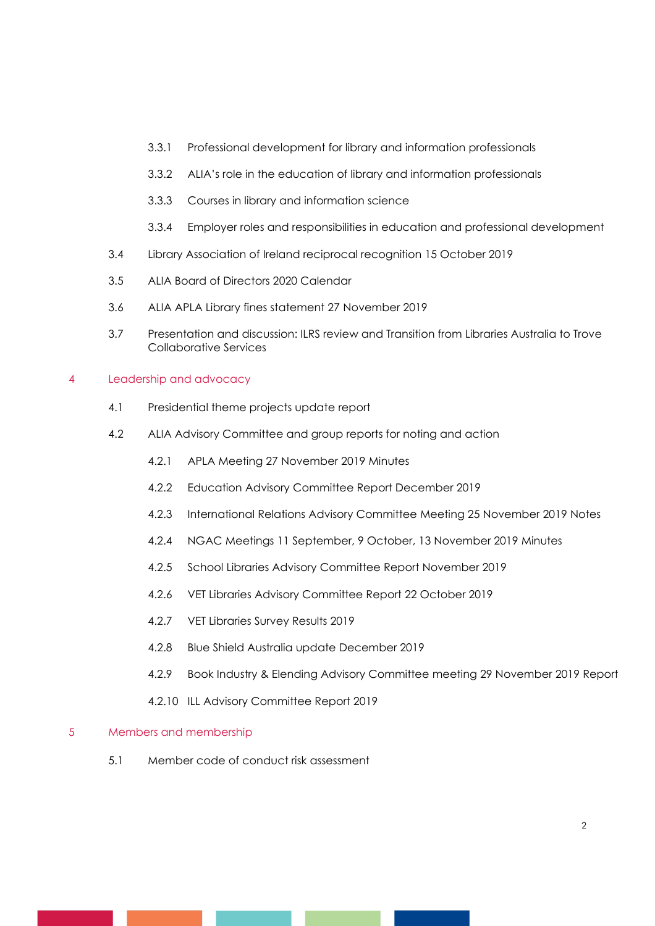- 3.3.1 Professional development for library and information professionals
- 3.3.2 ALIA's role in the education of library and information professionals
- 3.3.3 Courses in library and information science
- 3.3.4 Employer roles and responsibilities in education and professional development
- 3.4 Library Association of Ireland reciprocal recognition 15 October 2019
- 3.5 ALIA Board of Directors 2020 Calendar
- 3.6 ALIA APLA Library fines statement 27 November 2019
- 3.7 Presentation and discussion: ILRS review and Transition from Libraries Australia to Trove Collaborative Services

#### 4 Leadership and advocacy

- 4.1 Presidential theme projects update report
- 4.2 ALIA Advisory Committee and group reports for noting and action
	- 4.2.1 APLA Meeting 27 November 2019 Minutes
	- 4.2.2 Education Advisory Committee Report December 2019
	- 4.2.3 International Relations Advisory Committee Meeting 25 November 2019 Notes
	- 4.2.4 NGAC Meetings 11 September, 9 October, 13 November 2019 Minutes
	- 4.2.5 School Libraries Advisory Committee Report November 2019
	- 4.2.6 VET Libraries Advisory Committee Report 22 October 2019
	- 4.2.7 VET Libraries Survey Results 2019
	- 4.2.8 Blue Shield Australia update December 2019
	- 4.2.9 Book Industry & Elending Advisory Committee meeting 29 November 2019 Report
	- 4.2.10 ILL Advisory Committee Report 2019

#### 5 Members and membership

5.1 Member code of conduct risk assessment